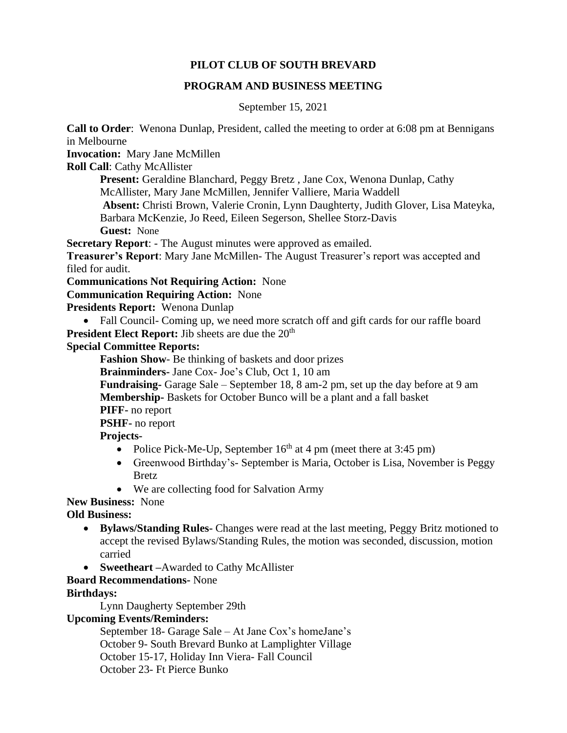## **PILOT CLUB OF SOUTH BREVARD**

### **PROGRAM AND BUSINESS MEETING**

September 15, 2021

**Call to Order**: Wenona Dunlap, President, called the meeting to order at 6:08 pm at Bennigans in Melbourne

**Invocation:** Mary Jane McMillen

**Roll Call**: Cathy McAllister

**Present:** Geraldine Blanchard, Peggy Bretz, Jane Cox, Wenona Dunlap, Cathy McAllister, Mary Jane McMillen, Jennifer Valliere, Maria Waddell

**Absent:** Christi Brown, Valerie Cronin, Lynn Daughterty, Judith Glover, Lisa Mateyka, Barbara McKenzie, Jo Reed, Eileen Segerson, Shellee Storz-Davis **Guest:** None

**Secretary Report**: - The August minutes were approved as emailed.

**Treasurer's Report**: Mary Jane McMillen- The August Treasurer's report was accepted and filed for audit.

**Communications Not Requiring Action:** None

## **Communication Requiring Action:** None

**Presidents Report:** Wenona Dunlap

• Fall Council- Coming up, we need more scratch off and gift cards for our raffle board **President Elect Report:** Jib sheets are due the 20<sup>th</sup>

## **Special Committee Reports:**

**Fashion Show**- Be thinking of baskets and door prizes

**Brainminders-** Jane Cox- Joe's Club, Oct 1, 10 am

**Fundraising-** Garage Sale – September 18, 8 am-2 pm, set up the day before at 9 am **Membership-** Baskets for October Bunco will be a plant and a fall basket

**PIFF-** no report

**PSHF-** no report

**Projects-**

- Police Pick-Me-Up, September  $16<sup>th</sup>$  at 4 pm (meet there at 3:45 pm)
- Greenwood Birthday's- September is Maria, October is Lisa, November is Peggy Bretz
- We are collecting food for Salvation Army

**New Business:** None

**Old Business:** 

- **Bylaws/Standing Rules-** Changes were read at the last meeting, Peggy Britz motioned to accept the revised Bylaws/Standing Rules, the motion was seconded, discussion, motion carried
- **Sweetheart** –Awarded to Cathy McAllister

## **Board Recommendations-** None

**Birthdays:**

Lynn Daugherty September 29th

# **Upcoming Events/Reminders:**

September 18- Garage Sale – At Jane Cox's homeJane's October 9- South Brevard Bunko at Lamplighter Village October 15-17, Holiday Inn Viera- Fall Council October 23- Ft Pierce Bunko